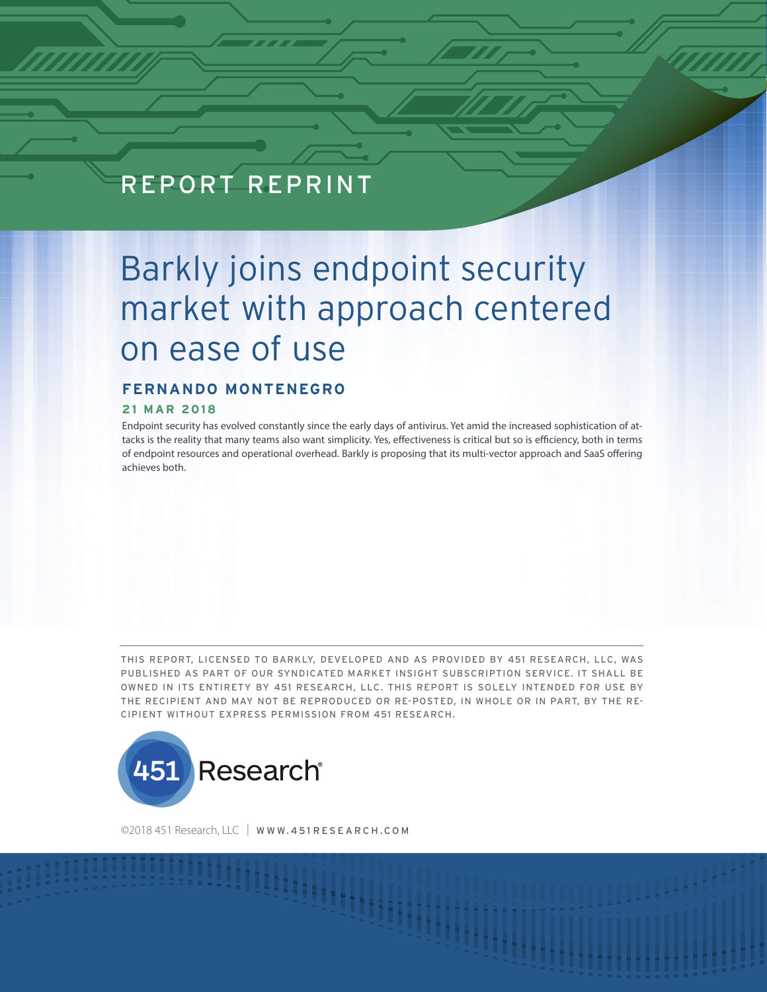# REPORT REPRINT

**451 RESEARCH REPRINT**

# Barkly joins endpoint security market with approach centered on ease of use

# **FERNANDO MONTENEGRO**

#### **21 MAR 2018**

Endpoint security has evolved constantly since the early days of antivirus. Yet amid the increased sophistication of attacks is the reality that many teams also want simplicity. Yes, effectiveness is critical but so is efficiency, both in terms of endpoint resources and operational overhead. Barkly is proposing that its multi-vector approach and SaaS offering achieves both.

THIS REPORT, LICENSED TO BARKLY, DEVELOPED AND AS PROVIDED BY 451 RESEARCH, LLC, WAS PUBLISHED AS PART OF OUR SYNDICATED MARKET INSIGHT SUBSCRIPTION SERVICE. IT SHALL BE OWNED IN ITS ENTIRETY BY 451 RESEARCH, LLC. THIS REPORT IS SOLELY INTENDED FOR USE BY THE RECIPIENT AND MAY NOT BE REPRODUCED OR RE-POSTED, IN WHOLE OR IN PART, BY THE RE-CIPIENT WITHOUT EXPRESS PERMISSION FROM 451 RESEARCH.



©2018 451 Research, LLC | [WWW.451 RESEARCH.COM](http://www.451research.com)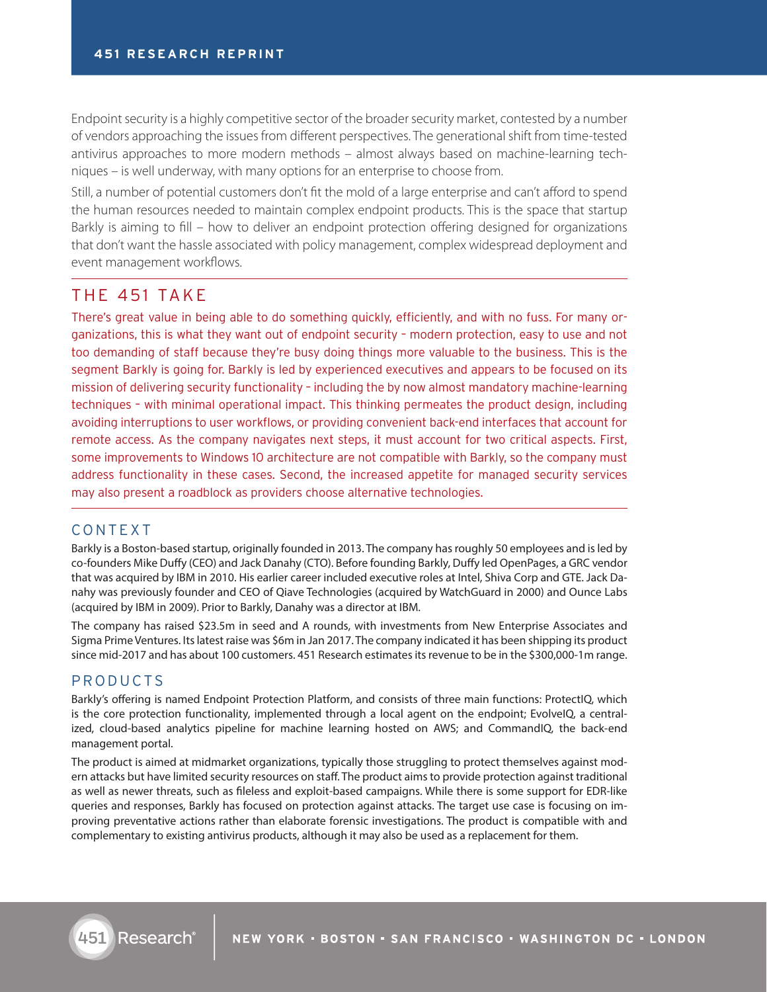Endpoint security is a highly competitive sector of the broader security market, contested by a number of vendors approaching the issues from different perspectives. The generational shift from time-tested antivirus approaches to more modern methods – almost always based on machine-learning techniques – is well underway, with many options for an enterprise to choose from.

Still, a number of potential customers don't fit the mold of a large enterprise and can't afford to spend the human resources needed to maintain complex endpoint products. This is the space that startup Barkly is aiming to fill – how to deliver an endpoint protection offering designed for organizations that don't want the hassle associated with policy management, complex widespread deployment and event management workflows.

# THE 451 TAKE

There's great value in being able to do something quickly, efficiently, and with no fuss. For many organizations, this is what they want out of endpoint security – modern protection, easy to use and not too demanding of staff because they're busy doing things more valuable to the business. This is the segment Barkly is going for. Barkly is led by experienced executives and appears to be focused on its mission of delivering security functionality – including the by now almost mandatory machine-learning techniques – with minimal operational impact. This thinking permeates the product design, including avoiding interruptions to user workflows, or providing convenient back-end interfaces that account for remote access. As the company navigates next steps, it must account for two critical aspects. First, some improvements to Windows 10 architecture are not compatible with Barkly, so the company must address functionality in these cases. Second, the increased appetite for managed security services may also present a roadblock as providers choose alternative technologies.

### CONTEXT

Barkly is a Boston-based startup, originally founded in 2013. The company has roughly 50 employees and is led by co-founders Mike Duffy (CEO) and Jack Danahy (CTO). Before founding Barkly, Duffy led OpenPages, a GRC vendor that was acquired by IBM in 2010. His earlier career included executive roles at Intel, Shiva Corp and GTE. Jack Danahy was previously founder and CEO of Qiave Technologies (acquired by WatchGuard in 2000) and Ounce Labs (acquired by IBM in 2009). Prior to Barkly, Danahy was a director at IBM.

The company has raised \$23.5m in seed and A rounds, with investments from New Enterprise Associates and Sigma Prime Ventures. Its latest raise was \$6m in Jan 2017. The company indicated it has been shipping its product since mid-2017 and has about 100 customers. 451 Research estimates its revenue to be in the \$300,000-1m range.

# PRODUCTS

Barkly's offering is named Endpoint Protection Platform, and consists of three main functions: ProtectIQ, which is the core protection functionality, implemented through a local agent on the endpoint; EvolveIQ, a centralized, cloud-based analytics pipeline for machine learning hosted on AWS; and CommandIQ, the back-end management portal.

The product is aimed at midmarket organizations, typically those struggling to protect themselves against modern attacks but have limited security resources on staff. The product aims to provide protection against traditional as well as newer threats, such as fileless and exploit-based campaigns. While there is some support for EDR-like queries and responses, Barkly has focused on protection against attacks. The target use case is focusing on improving preventative actions rather than elaborate forensic investigations. The product is compatible with and complementary to existing antivirus products, although it may also be used as a replacement for them.

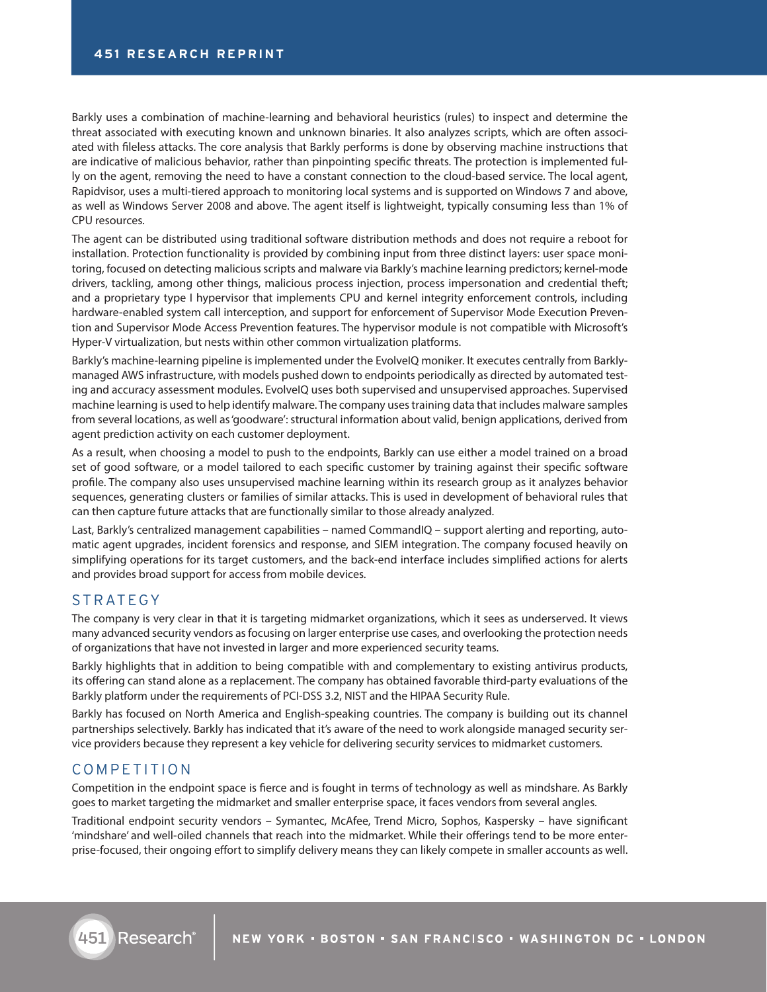Barkly uses a combination of machine-learning and behavioral heuristics (rules) to inspect and determine the threat associated with executing known and unknown binaries. It also analyzes scripts, which are often associated with fileless attacks. The core analysis that Barkly performs is done by observing machine instructions that are indicative of malicious behavior, rather than pinpointing specific threats. The protection is implemented fully on the agent, removing the need to have a constant connection to the cloud-based service. The local agent, Rapidvisor, uses a multi-tiered approach to monitoring local systems and is supported on Windows 7 and above, as well as Windows Server 2008 and above. The agent itself is lightweight, typically consuming less than 1% of CPU resources.

The agent can be distributed using traditional software distribution methods and does not require a reboot for installation. Protection functionality is provided by combining input from three distinct layers: user space monitoring, focused on detecting malicious scripts and malware via Barkly's machine learning predictors; kernel-mode drivers, tackling, among other things, malicious process injection, process impersonation and credential theft; and a proprietary type I hypervisor that implements CPU and kernel integrity enforcement controls, including hardware-enabled system call interception, and support for enforcement of Supervisor Mode Execution Prevention and Supervisor Mode Access Prevention features. The hypervisor module is not compatible with Microsoft's Hyper-V virtualization, but nests within other common virtualization platforms.

Barkly's machine-learning pipeline is implemented under the EvolveIQ moniker. It executes centrally from Barklymanaged AWS infrastructure, with models pushed down to endpoints periodically as directed by automated testing and accuracy assessment modules. EvolveIQ uses both supervised and unsupervised approaches. Supervised machine learning is used to help identify malware. The company uses training data that includes malware samples from several locations, as well as 'goodware': structural information about valid, benign applications, derived from agent prediction activity on each customer deployment.

As a result, when choosing a model to push to the endpoints, Barkly can use either a model trained on a broad set of good software, or a model tailored to each specific customer by training against their specific software profile. The company also uses unsupervised machine learning within its research group as it analyzes behavior sequences, generating clusters or families of similar attacks. This is used in development of behavioral rules that can then capture future attacks that are functionally similar to those already analyzed.

Last, Barkly's centralized management capabilities – named CommandIQ – support alerting and reporting, automatic agent upgrades, incident forensics and response, and SIEM integration. The company focused heavily on simplifying operations for its target customers, and the back-end interface includes simplified actions for alerts and provides broad support for access from mobile devices.

## STRATEGY

The company is very clear in that it is targeting midmarket organizations, which it sees as underserved. It views many advanced security vendors as focusing on larger enterprise use cases, and overlooking the protection needs of organizations that have not invested in larger and more experienced security teams.

Barkly highlights that in addition to being compatible with and complementary to existing antivirus products, its offering can stand alone as a replacement. The company has obtained favorable third-party evaluations of the Barkly platform under the requirements of PCI-DSS 3.2, NIST and the HIPAA Security Rule.

Barkly has focused on North America and English-speaking countries. The company is building out its channel partnerships selectively. Barkly has indicated that it's aware of the need to work alongside managed security service providers because they represent a key vehicle for delivering security services to midmarket customers.

#### COMPETITION

Competition in the endpoint space is fierce and is fought in terms of technology as well as mindshare. As Barkly goes to market targeting the midmarket and smaller enterprise space, it faces vendors from several angles.

Traditional endpoint security vendors – Symantec, McAfee, Trend Micro, Sophos, Kaspersky – have significant 'mindshare' and well-oiled channels that reach into the midmarket. While their offerings tend to be more enterprise-focused, their ongoing effort to simplify delivery means they can likely compete in smaller accounts as well.